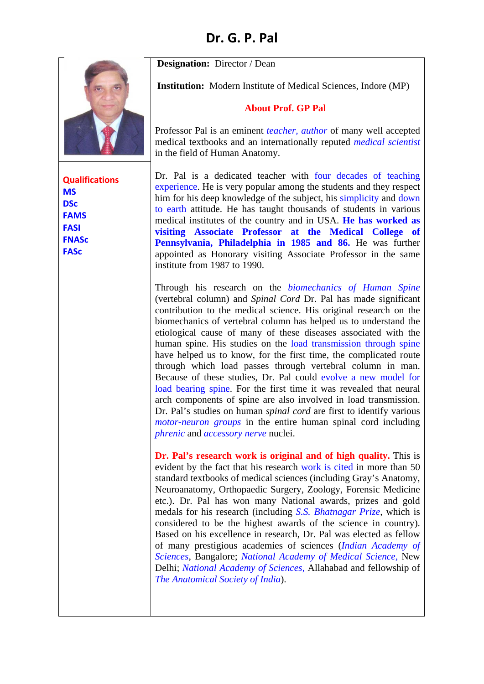**Designation:** Director / Dean

**Institution:** Modern Institute of Medical Sciences, Indore (MP)

## **About Prof. GP Pal**

Professor Pal is an eminent *teacher, author* of many well accepted medical textbooks and an internationally reputed *medical scientist* in the field of Human Anatomy.

Dr. Pal is a dedicated teacher with four decades of teaching experience. He is very popular among the students and they respect him for his deep knowledge of the subject, his simplicity and down to earth attitude. He has taught thousands of students in various medical institutes of the country and in USA. **He has worked as visiting Associate Professor at the Medical College of Pennsylvania, Philadelphia in 1985 and 86.** He was further appointed as Honorary visiting Associate Professor in the same institute from 1987 to 1990.

Through his research on the *biomechanics of Human Spine* (vertebral column) and *Spinal Cord* Dr. Pal has made significant contribution to the medical science. His original research on the biomechanics of vertebral column has helped us to understand the etiological cause of many of these diseases associated with the human spine. His studies on the load transmission through spine have helped us to know, for the first time, the complicated route through which load passes through vertebral column in man. Because of these studies, Dr. Pal could evolve a new model for load bearing spine. For the first time it was revealed that neural arch components of spine are also involved in load transmission. Dr. Pal's studies on human *spinal cord* are first to identify various *motor-neuron groups* in the entire human spinal cord including *phrenic* and *accessory nerve* nuclei.

**Dr. Pal's research work is original and of high quality.** This is evident by the fact that his research work is cited in more than 50 standard textbooks of medical sciences (including Gray's Anatomy, Neuroanatomy, Orthopaedic Surgery, Zoology, Forensic Medicine etc.). Dr. Pal has won many National awards, prizes and gold medals for his research (including *S.S. Bhatnagar Prize,* which is considered to be the highest awards of the science in country). Based on his excellence in research, Dr. Pal was elected as fellow of many prestigious academies of sciences (*Indian Academy of Sciences*, Bangalore; *National Academy of Medical Science*, New Delhi; *National Academy of Sciences*, Allahabad and fellowship of *The Anatomical Society of India*).

**Qualifications MS DSc FAMS FASI FNASc FASc**